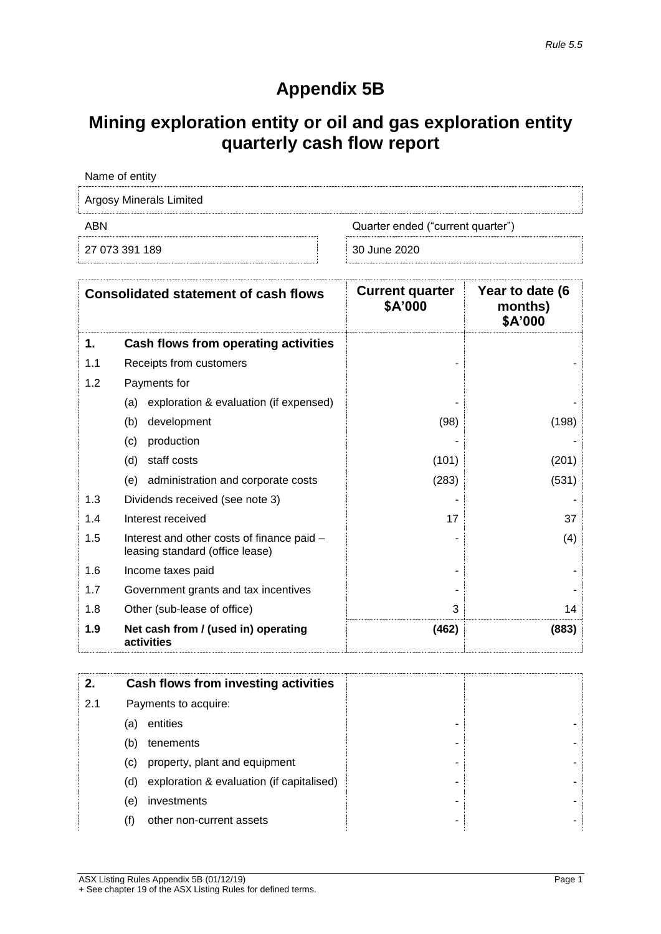## **Appendix 5B**

## **Mining exploration entity or oil and gas exploration entity quarterly cash flow report**

| Name of entity                 |                                   |  |  |
|--------------------------------|-----------------------------------|--|--|
| <b>Argosy Minerals Limited</b> |                                   |  |  |
| ABN                            | Quarter ended ("current quarter") |  |  |
| 27 073 391 189                 | 30 June 2020                      |  |  |

|     | <b>Consolidated statement of cash flows</b>                                   | <b>Current quarter</b><br>\$A'000 | Year to date (6<br>months)<br>\$A'000 |
|-----|-------------------------------------------------------------------------------|-----------------------------------|---------------------------------------|
| 1.  | Cash flows from operating activities                                          |                                   |                                       |
| 1.1 | Receipts from customers                                                       |                                   |                                       |
| 1.2 | Payments for                                                                  |                                   |                                       |
|     | exploration & evaluation (if expensed)<br>(a)                                 |                                   |                                       |
|     | (b)<br>development                                                            | (98)                              | (198)                                 |
|     | production<br>(c)                                                             |                                   |                                       |
|     | staff costs<br>(d)                                                            | (101)                             | (201)                                 |
|     | (e)<br>administration and corporate costs                                     | (283)                             | (531)                                 |
| 1.3 | Dividends received (see note 3)                                               |                                   |                                       |
| 1.4 | Interest received                                                             | 17                                | 37                                    |
| 1.5 | Interest and other costs of finance paid -<br>leasing standard (office lease) |                                   | (4)                                   |
| 1.6 | Income taxes paid                                                             |                                   |                                       |
| 1.7 | Government grants and tax incentives                                          |                                   |                                       |
| 1.8 | Other (sub-lease of office)                                                   | 3                                 | 14                                    |
| 1.9 | Net cash from / (used in) operating<br>activities                             | (462)                             | (883)                                 |

| 2.  |     | Cash flows from investing activities      |   |  |
|-----|-----|-------------------------------------------|---|--|
| 2.1 |     | Payments to acquire:                      |   |  |
|     | (a) | entities                                  | - |  |
|     | (b) | tenements                                 | - |  |
|     | (C) | property, plant and equipment             | ۰ |  |
|     | (d) | exploration & evaluation (if capitalised) | ۰ |  |
|     | (e) | investments                               | ٠ |  |
|     |     | other non-current assets                  | - |  |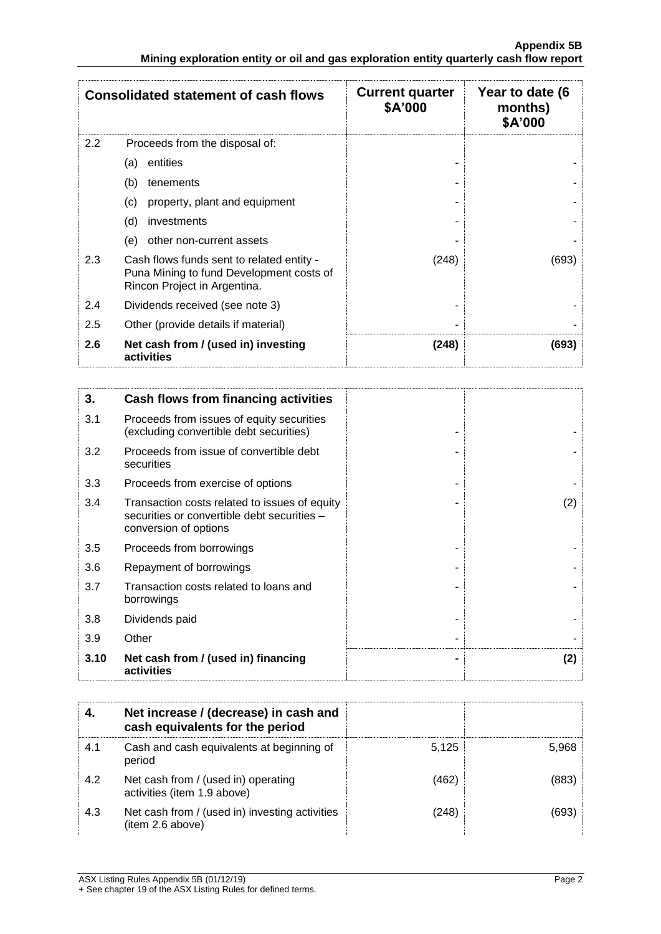|     | <b>Consolidated statement of cash flows</b>                                                                           | <b>Current quarter</b><br>\$A'000 | Year to date (6<br>months)<br>\$A'000 |
|-----|-----------------------------------------------------------------------------------------------------------------------|-----------------------------------|---------------------------------------|
| 2.2 | Proceeds from the disposal of:                                                                                        |                                   |                                       |
|     | entities<br>(a)                                                                                                       |                                   |                                       |
|     | (b)<br>tenements                                                                                                      |                                   |                                       |
|     | property, plant and equipment<br>(c)                                                                                  |                                   |                                       |
|     | (d)<br>investments                                                                                                    |                                   |                                       |
|     | other non-current assets<br>(e)                                                                                       |                                   |                                       |
| 2.3 | Cash flows funds sent to related entity -<br>Puna Mining to fund Development costs of<br>Rincon Project in Argentina. | (248)                             | (693)                                 |
| 2.4 | Dividends received (see note 3)                                                                                       |                                   |                                       |
| 2.5 | Other (provide details if material)                                                                                   |                                   |                                       |
| 2.6 | Net cash from / (used in) investing<br>activities                                                                     | (248)                             | (693)                                 |

| 3.   | Cash flows from financing activities                                                                                  |     |
|------|-----------------------------------------------------------------------------------------------------------------------|-----|
| 3.1  | Proceeds from issues of equity securities<br>(excluding convertible debt securities)                                  |     |
| 3.2  | Proceeds from issue of convertible debt<br>securities                                                                 |     |
| 3.3  | Proceeds from exercise of options                                                                                     |     |
| 3.4  | Transaction costs related to issues of equity<br>securities or convertible debt securities -<br>conversion of options | (2) |
| 3.5  | Proceeds from borrowings                                                                                              |     |
| 3.6  | Repayment of borrowings                                                                                               |     |
| 3.7  | Transaction costs related to loans and<br>borrowings                                                                  |     |
| 3.8  | Dividends paid                                                                                                        |     |
| 3.9  | Other                                                                                                                 |     |
| 3.10 | Net cash from / (used in) financing<br>activities                                                                     | (2) |

|     | Net increase / (decrease) in cash and<br>cash equivalents for the period |       |       |
|-----|--------------------------------------------------------------------------|-------|-------|
| 4.1 | Cash and cash equivalents at beginning of<br>period                      | 5.125 | 5,968 |
| 4.2 | Net cash from / (used in) operating<br>activities (item 1.9 above)       | (462) | (883  |
| 4.3 | Net cash from / (used in) investing activities<br>(item 2.6 above)       | (248) | (693  |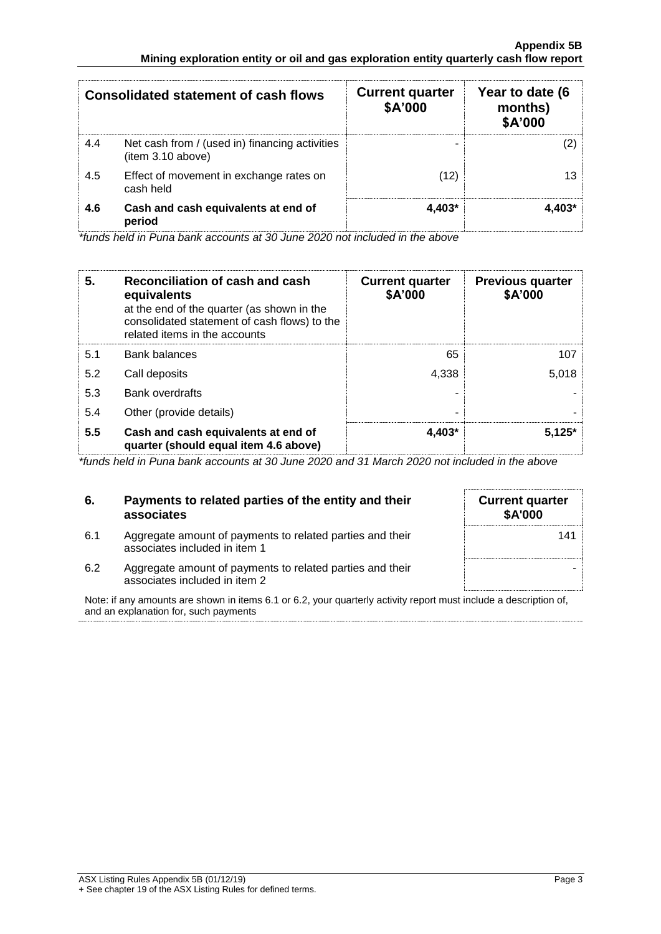|     | <b>Consolidated statement of cash flows</b>                         | <b>Current quarter</b><br>\$A'000 | Year to date (6<br>months)<br>\$A'000 |
|-----|---------------------------------------------------------------------|-----------------------------------|---------------------------------------|
| 4.4 | Net cash from / (used in) financing activities<br>(item 3.10 above) |                                   |                                       |
| 4.5 | Effect of movement in exchange rates on<br>cash held                | (12)                              |                                       |
| 4.6 | Cash and cash equivalents at end of<br>period                       | $4.403*$                          |                                       |

*\*funds held in Puna bank accounts at 30 June 2020 not included in the above*

| 5.  | Reconciliation of cash and cash<br>equivalents<br>at the end of the quarter (as shown in the<br>consolidated statement of cash flows) to the<br>related items in the accounts | <b>Current quarter</b><br>\$A'000 | <b>Previous quarter</b><br>\$A'000 |
|-----|-------------------------------------------------------------------------------------------------------------------------------------------------------------------------------|-----------------------------------|------------------------------------|
| 5.1 | <b>Bank balances</b>                                                                                                                                                          | 65                                | 107                                |
| 5.2 | Call deposits                                                                                                                                                                 | 4.338                             | 5,018                              |
| 5.3 | <b>Bank overdrafts</b>                                                                                                                                                        |                                   |                                    |
| 5.4 | Other (provide details)                                                                                                                                                       | -                                 |                                    |
| 5.5 | Cash and cash equivalents at end of<br>quarter (should equal item 4.6 above)                                                                                                  | $4.403*$                          | $5.125*$                           |

*\*funds held in Puna bank accounts at 30 June 2020 and 31 March 2020 not included in the above*

| 6.  | Payments to related parties of the entity and their<br>associates                          | <b>Current quarter</b><br><b>\$A'000</b> |
|-----|--------------------------------------------------------------------------------------------|------------------------------------------|
| 6.1 | Aggregate amount of payments to related parties and their<br>associates included in item 1 | 141                                      |
| 6.2 | Aggregate amount of payments to related parties and their<br>associates included in item 2 |                                          |

Note: if any amounts are shown in items 6.1 or 6.2, your quarterly activity report must include a description of, and an explanation for, such payments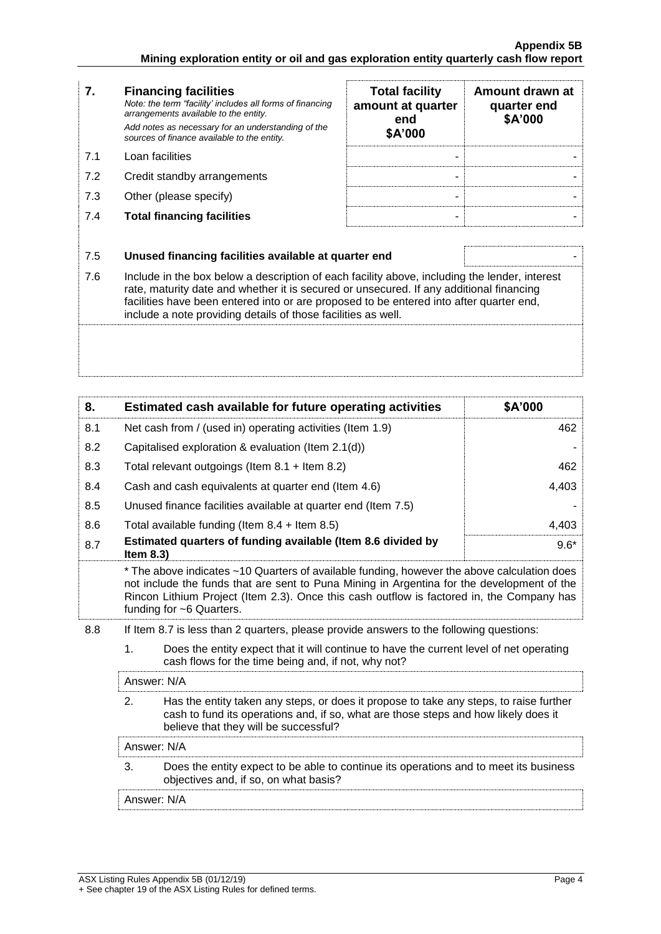| 7.  | <b>Financing facilities</b><br>Note: the term "facility' includes all forms of financing<br>arrangements available to the entity.<br>Add notes as necessary for an understanding of the<br>sources of finance available to the entity.                                                                                                               | <b>Total facility</b><br>amount at quarter<br>end<br>\$A'000 | Amount drawn at<br>quarter end<br>\$A'000 |
|-----|------------------------------------------------------------------------------------------------------------------------------------------------------------------------------------------------------------------------------------------------------------------------------------------------------------------------------------------------------|--------------------------------------------------------------|-------------------------------------------|
| 7.1 | Loan facilities                                                                                                                                                                                                                                                                                                                                      |                                                              |                                           |
| 7.2 | Credit standby arrangements                                                                                                                                                                                                                                                                                                                          |                                                              |                                           |
| 7.3 | Other (please specify)                                                                                                                                                                                                                                                                                                                               |                                                              |                                           |
| 7.4 | <b>Total financing facilities</b>                                                                                                                                                                                                                                                                                                                    |                                                              |                                           |
|     |                                                                                                                                                                                                                                                                                                                                                      |                                                              |                                           |
| 7.5 | Unused financing facilities available at quarter end                                                                                                                                                                                                                                                                                                 |                                                              |                                           |
| 7.6 | Include in the box below a description of each facility above, including the lender, interest<br>rate, maturity date and whether it is secured or unsecured. If any additional financing<br>facilities have been entered into or are proposed to be entered into after quarter end,<br>include a note providing details of those facilities as well. |                                                              |                                           |
|     |                                                                                                                                                                                                                                                                                                                                                      |                                                              |                                           |

| 8.  | Estimated cash available for future operating activities                                                                                                                                                                                                                                                           | \$A'000 |  |
|-----|--------------------------------------------------------------------------------------------------------------------------------------------------------------------------------------------------------------------------------------------------------------------------------------------------------------------|---------|--|
| 8.1 | Net cash from / (used in) operating activities (Item 1.9)                                                                                                                                                                                                                                                          | 462     |  |
| 8.2 | Capitalised exploration & evaluation (Item 2.1(d))                                                                                                                                                                                                                                                                 |         |  |
| 8.3 | Total relevant outgoings (Item 8.1 + Item 8.2)                                                                                                                                                                                                                                                                     | 462     |  |
| 8.4 | Cash and cash equivalents at quarter end (Item 4.6)                                                                                                                                                                                                                                                                | 4,403   |  |
| 8.5 | Unused finance facilities available at quarter end (Item 7.5)                                                                                                                                                                                                                                                      |         |  |
| 8.6 | Total available funding (Item $8.4$ + Item $8.5$ )                                                                                                                                                                                                                                                                 | 4,403   |  |
| 8.7 | Estimated quarters of funding available (Item 8.6 divided by<br>Item $8.3$ )                                                                                                                                                                                                                                       | $9.6*$  |  |
|     | * The above indicates ~10 Quarters of available funding, however the above calculation does<br>not include the funds that are sent to Puna Mining in Argentina for the development of the<br>Rincon Lithium Project (Item 2.3). Once this cash outflow is factored in, the Company has<br>funding for ~6 Quarters. |         |  |
| 8.8 | If Item 8.7 is less than 2 quarters, please provide answers to the following questions:                                                                                                                                                                                                                            |         |  |
|     | 1.<br>Does the entity expect that it will continue to have the current level of net operating<br>cash flows for the time being and, if not, why not?                                                                                                                                                               |         |  |
|     | Answer: N/A                                                                                                                                                                                                                                                                                                        |         |  |
|     | 2.<br>Has the entity taken any steps, or does it propose to take any steps, to raise further<br>cash to fund its operations and, if so, what are those steps and how likely does it<br>believe that they will be successful?                                                                                       |         |  |
|     | Answer: N/A                                                                                                                                                                                                                                                                                                        |         |  |
|     | 3.<br>Does the entity expect to be able to continue its operations and to meet its business<br>objectives and, if so, on what basis?                                                                                                                                                                               |         |  |

Answer: N/A